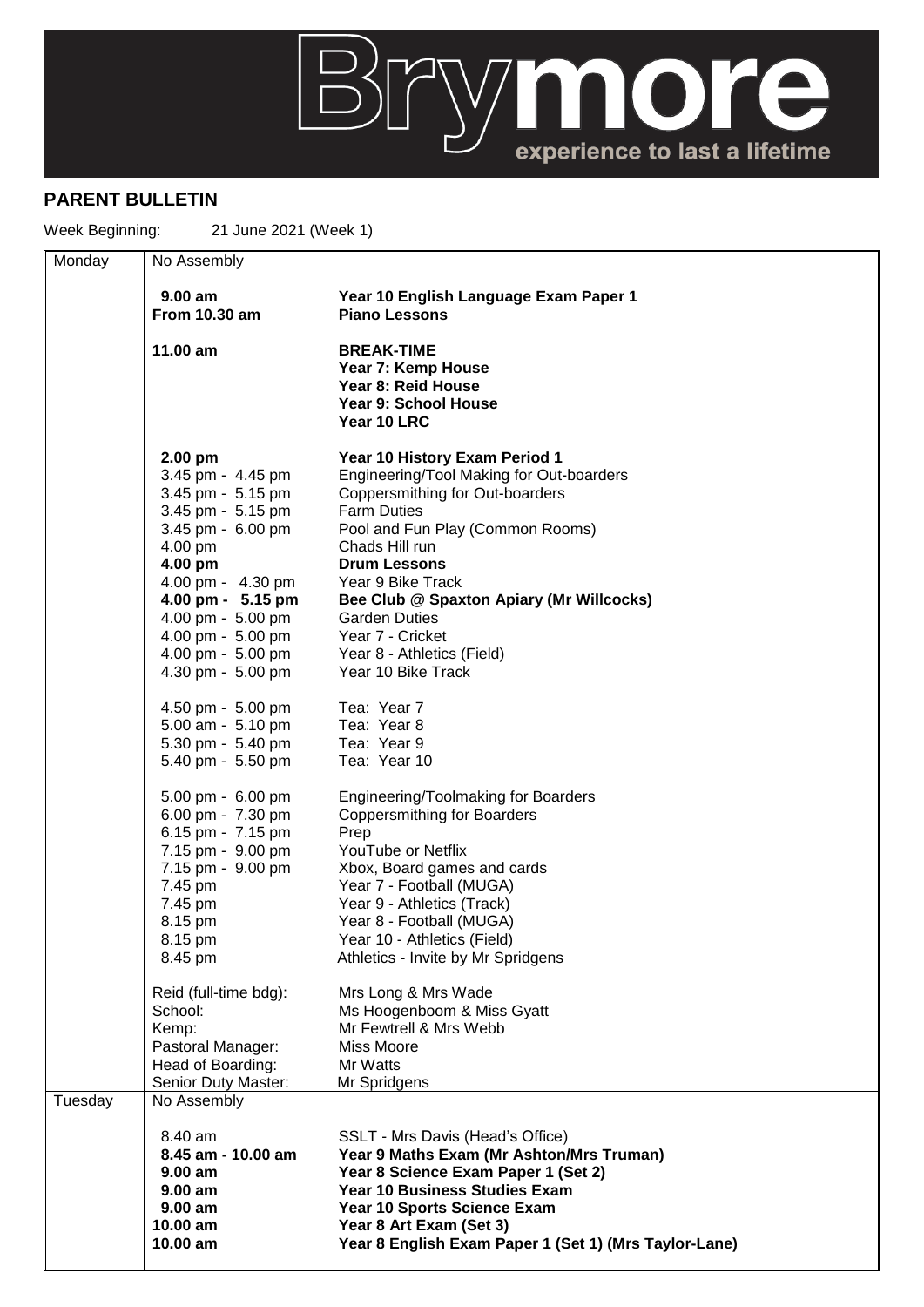

## **PARENT BULLETIN**

Week Beginning: 21 June 2021 (Week 1)

| Monday  | No Assembly                                                                                                                                                                                                                  |                                                                                                                                                                                                                                                                                                                                                            |  |
|---------|------------------------------------------------------------------------------------------------------------------------------------------------------------------------------------------------------------------------------|------------------------------------------------------------------------------------------------------------------------------------------------------------------------------------------------------------------------------------------------------------------------------------------------------------------------------------------------------------|--|
|         | $9.00$ am<br><b>From 10.30 am</b>                                                                                                                                                                                            | Year 10 English Language Exam Paper 1<br><b>Piano Lessons</b>                                                                                                                                                                                                                                                                                              |  |
|         | 11.00 am                                                                                                                                                                                                                     | <b>BREAK-TIME</b><br>Year 7: Kemp House<br>Year 8: Reid House<br>Year 9: School House<br>Year 10 LRC                                                                                                                                                                                                                                                       |  |
|         | $2.00$ pm<br>3.45 pm - 4.45 pm<br>3.45 pm - 5.15 pm<br>3.45 pm - 5.15 pm<br>3.45 pm - 6.00 pm<br>4.00 pm<br>4.00 pm<br>4.00 pm - 4.30 pm<br>4.00 pm - 5.15 pm<br>4.00 pm - 5.00 pm<br>4.00 pm - 5.00 pm<br>4.00 pm - 5.00 pm | Year 10 History Exam Period 1<br>Engineering/Tool Making for Out-boarders<br>Coppersmithing for Out-boarders<br><b>Farm Duties</b><br>Pool and Fun Play (Common Rooms)<br>Chads Hill run<br><b>Drum Lessons</b><br>Year 9 Bike Track<br>Bee Club @ Spaxton Apiary (Mr Willcocks)<br><b>Garden Duties</b><br>Year 7 - Cricket<br>Year 8 - Athletics (Field) |  |
|         | 4.30 pm - 5.00 pm<br>4.50 pm - 5.00 pm<br>5.00 am - 5.10 pm<br>5.30 pm - 5.40 pm<br>5.40 pm - 5.50 pm                                                                                                                        | Year 10 Bike Track<br>Tea: Year 7<br>Tea: Year 8<br>Tea: Year 9<br>Tea: Year 10                                                                                                                                                                                                                                                                            |  |
|         | 5.00 pm - 6.00 pm<br>6.00 pm - 7.30 pm<br>6.15 pm - 7.15 pm<br>7.15 pm - 9.00 pm<br>7.15 pm - 9.00 pm<br>7.45 pm<br>7.45 pm<br>8.15 pm<br>8.15 pm<br>8.45 pm                                                                 | Engineering/Toolmaking for Boarders<br><b>Coppersmithing for Boarders</b><br>Prep<br>YouTube or Netflix<br>Xbox, Board games and cards<br>Year 7 - Football (MUGA)<br>Year 9 - Athletics (Track)<br>Year 8 - Football (MUGA)<br>Year 10 - Athletics (Field)<br>Athletics - Invite by Mr Spridgens                                                          |  |
|         | Reid (full-time bdg):<br>School:<br>Kemp:<br>Pastoral Manager:<br>Head of Boarding:<br>Senior Duty Master:                                                                                                                   | Mrs Long & Mrs Wade<br>Ms Hoogenboom & Miss Gyatt<br>Mr Fewtrell & Mrs Webb<br>Miss Moore<br>Mr Watts<br>Mr Spridgens                                                                                                                                                                                                                                      |  |
| Tuesday | No Assembly                                                                                                                                                                                                                  |                                                                                                                                                                                                                                                                                                                                                            |  |
|         | 8.40 am<br>8.45 am - 10.00 am<br>9.00 am<br>$9.00$ am<br>9.00 am<br>10.00 am<br>$10.00$ am                                                                                                                                   | SSLT - Mrs Davis (Head's Office)<br>Year 9 Maths Exam (Mr Ashton/Mrs Truman)<br>Year 8 Science Exam Paper 1 (Set 2)<br>Year 10 Business Studies Exam<br>Year 10 Sports Science Exam<br>Year 8 Art Exam (Set 3)<br>Year 8 English Exam Paper 1 (Set 1) (Mrs Taylor-Lane)                                                                                    |  |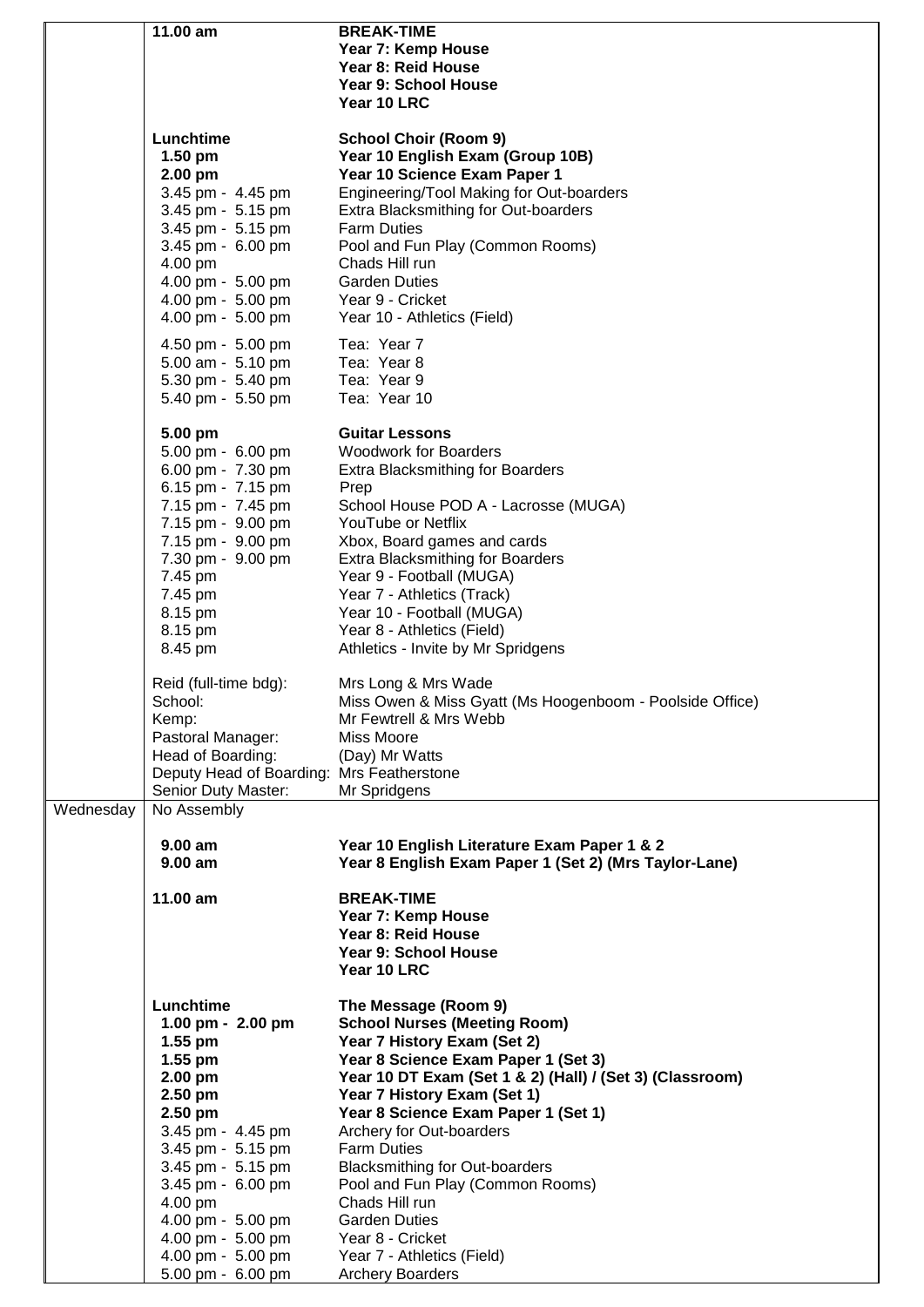|           | 11.00 am                                  | <b>BREAK-TIME</b>                                        |
|-----------|-------------------------------------------|----------------------------------------------------------|
|           |                                           | Year 7: Kemp House                                       |
|           |                                           | Year 8: Reid House                                       |
|           |                                           |                                                          |
|           |                                           | Year 9: School House                                     |
|           |                                           | Year 10 LRC                                              |
|           |                                           |                                                          |
|           | Lunchtime                                 | <b>School Choir (Room 9)</b>                             |
|           | $1.50$ pm                                 | Year 10 English Exam (Group 10B)                         |
|           | $2.00$ pm                                 | Year 10 Science Exam Paper 1                             |
|           | 3.45 pm - 4.45 pm                         | Engineering/Tool Making for Out-boarders                 |
|           | 3.45 pm - 5.15 pm                         | Extra Blacksmithing for Out-boarders                     |
|           |                                           |                                                          |
|           | 3.45 pm - 5.15 pm                         | <b>Farm Duties</b>                                       |
|           | 3.45 pm - 6.00 pm                         | Pool and Fun Play (Common Rooms)                         |
|           | 4.00 pm                                   | Chads Hill run                                           |
|           | 4.00 pm - 5.00 pm                         | <b>Garden Duties</b>                                     |
|           | 4.00 pm - 5.00 pm                         | Year 9 - Cricket                                         |
|           | 4.00 pm - 5.00 pm                         | Year 10 - Athletics (Field)                              |
|           |                                           |                                                          |
|           | 4.50 pm - 5.00 pm                         | Tea: Year 7                                              |
|           | 5.00 am - 5.10 pm                         | Tea: Year 8                                              |
|           | 5.30 pm - 5.40 pm                         | Tea: Year 9                                              |
|           | 5.40 pm - 5.50 pm                         | Tea: Year 10                                             |
|           |                                           |                                                          |
|           | 5.00 pm                                   | <b>Guitar Lessons</b>                                    |
|           | 5.00 pm - 6.00 pm                         | <b>Woodwork for Boarders</b>                             |
|           | 6.00 pm - 7.30 pm                         | <b>Extra Blacksmithing for Boarders</b>                  |
|           | 6.15 pm - 7.15 pm                         | Prep                                                     |
|           |                                           |                                                          |
|           | 7.15 pm - 7.45 pm                         | School House POD A - Lacrosse (MUGA)                     |
|           | 7.15 pm - 9.00 pm                         | YouTube or Netflix                                       |
|           | 7.15 pm - 9.00 pm                         | Xbox, Board games and cards                              |
|           | 7.30 pm - 9.00 pm                         | <b>Extra Blacksmithing for Boarders</b>                  |
|           | 7.45 pm                                   | Year 9 - Football (MUGA)                                 |
|           | 7.45 pm                                   | Year 7 - Athletics (Track)                               |
|           | 8.15 pm                                   | Year 10 - Football (MUGA)                                |
|           | 8.15 pm                                   | Year 8 - Athletics (Field)                               |
|           |                                           |                                                          |
|           | 8.45 pm                                   | Athletics - Invite by Mr Spridgens                       |
|           |                                           |                                                          |
|           | Reid (full-time bdg):                     | Mrs Long & Mrs Wade                                      |
|           | School:                                   | Miss Owen & Miss Gyatt (Ms Hoogenboom - Poolside Office) |
|           | Kemp:                                     | Mr Fewtrell & Mrs Webb                                   |
|           | Pastoral Manager:                         | Miss Moore                                               |
|           | Head of Boarding:                         | (Day) Mr Watts                                           |
|           | Deputy Head of Boarding: Mrs Featherstone |                                                          |
|           | Senior Duty Master:                       | Mr Spridgens                                             |
| Wednesday | No Assembly                               |                                                          |
|           |                                           |                                                          |
|           | $9.00 a$ m                                | Year 10 English Literature Exam Paper 1 & 2              |
|           | 9.00 am                                   | Year 8 English Exam Paper 1 (Set 2) (Mrs Taylor-Lane)    |
|           |                                           |                                                          |
|           | 11.00 am                                  | <b>BREAK-TIME</b>                                        |
|           |                                           | Year 7: Kemp House                                       |
|           |                                           |                                                          |
|           |                                           | Year 8: Reid House                                       |
|           |                                           | Year 9: School House                                     |
|           |                                           | Year 10 LRC                                              |
|           |                                           |                                                          |
|           | Lunchtime                                 | The Message (Room 9)                                     |
|           | 1.00 pm - 2.00 pm                         | <b>School Nurses (Meeting Room)</b>                      |
|           | $1.55$ pm                                 | Year 7 History Exam (Set 2)                              |
|           | 1.55 pm                                   | Year 8 Science Exam Paper 1 (Set 3)                      |
|           | 2.00 pm                                   | Year 10 DT Exam (Set 1 & 2) (Hall) / (Set 3) (Classroom) |
|           | 2.50 pm                                   | Year 7 History Exam (Set 1)                              |
|           | 2.50 pm                                   | Year 8 Science Exam Paper 1 (Set 1)                      |
|           |                                           |                                                          |
|           | 3.45 pm - 4.45 pm                         | Archery for Out-boarders                                 |
|           | 3.45 pm - 5.15 pm                         | <b>Farm Duties</b>                                       |
|           | 3.45 pm - 5.15 pm                         | <b>Blacksmithing for Out-boarders</b>                    |
|           | 3.45 pm - 6.00 pm                         | Pool and Fun Play (Common Rooms)                         |
|           | 4.00 pm                                   | Chads Hill run                                           |
|           | 4.00 pm - 5.00 pm                         | <b>Garden Duties</b>                                     |
|           | 4.00 pm - 5.00 pm                         | Year 8 - Cricket                                         |
|           | 4.00 pm - 5.00 pm                         | Year 7 - Athletics (Field)                               |
|           | 5.00 pm - 6.00 pm                         | <b>Archery Boarders</b>                                  |
|           |                                           |                                                          |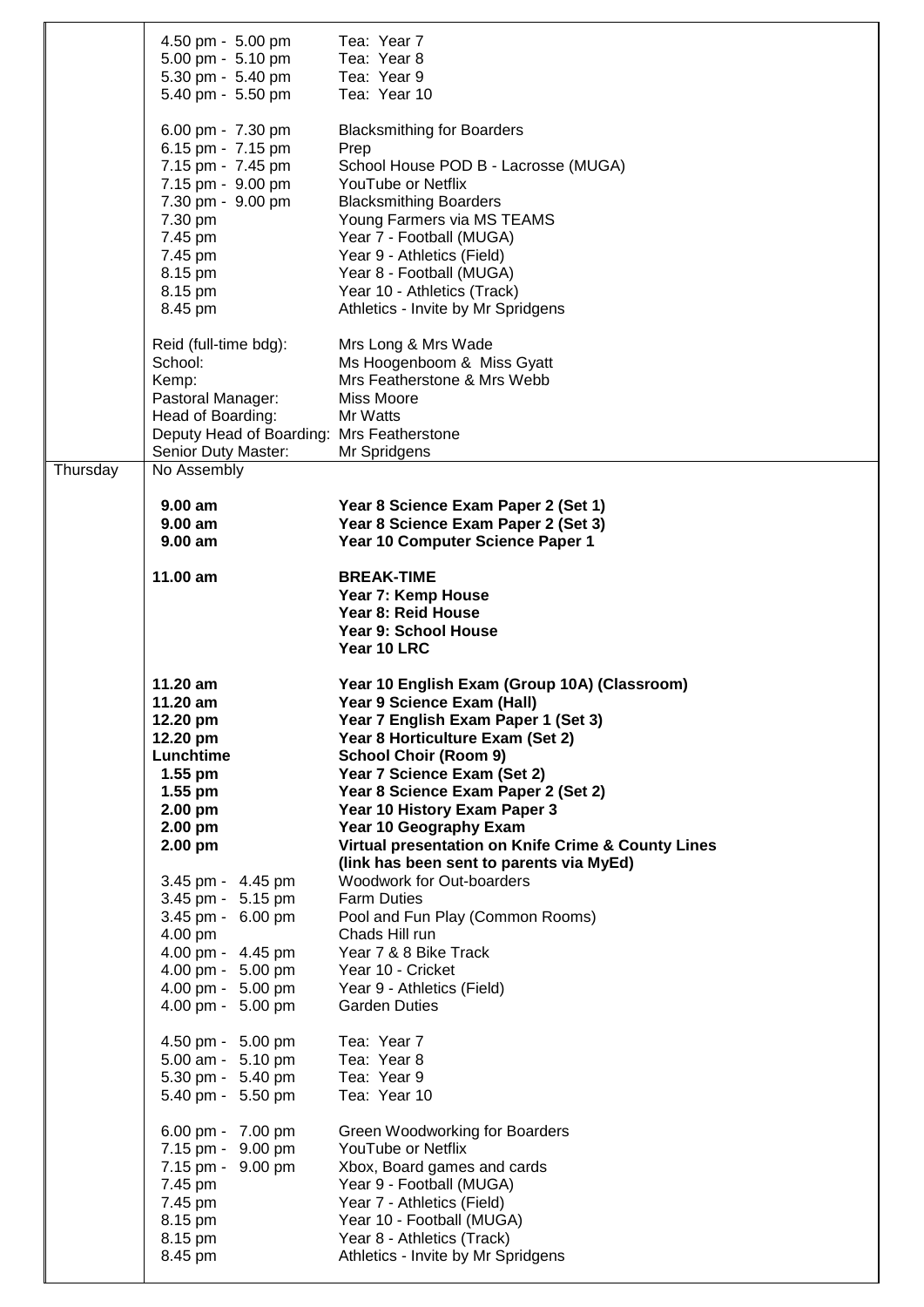|          | 4.50 pm - 5.00 pm<br>5.00 pm - 5.10 pm<br>5.30 pm - 5.40 pm<br>5.40 pm - 5.50 pm                                                                                        | Tea: Year 7<br>Tea: Year 8<br>Tea: Year 9<br>Tea: Year 10                                                                                                                                                                                                                                                                         |
|----------|-------------------------------------------------------------------------------------------------------------------------------------------------------------------------|-----------------------------------------------------------------------------------------------------------------------------------------------------------------------------------------------------------------------------------------------------------------------------------------------------------------------------------|
|          | 6.00 pm - 7.30 pm<br>6.15 pm - 7.15 pm<br>7.15 pm - 7.45 pm<br>7.15 pm - 9.00 pm<br>7.30 pm - 9.00 pm<br>7.30 pm<br>7.45 pm<br>7.45 pm<br>8.15 pm<br>8.15 pm<br>8.45 pm | <b>Blacksmithing for Boarders</b><br>Prep<br>School House POD B - Lacrosse (MUGA)<br>YouTube or Netflix<br><b>Blacksmithing Boarders</b><br>Young Farmers via MS TEAMS<br>Year 7 - Football (MUGA)<br>Year 9 - Athletics (Field)<br>Year 8 - Football (MUGA)<br>Year 10 - Athletics (Track)<br>Athletics - Invite by Mr Spridgens |
|          | Reid (full-time bdg):<br>School:<br>Kemp:<br>Pastoral Manager:<br>Head of Boarding:<br>Deputy Head of Boarding: Mrs Featherstone<br>Senior Duty Master:                 | Mrs Long & Mrs Wade<br>Ms Hoogenboom & Miss Gyatt<br>Mrs Featherstone & Mrs Webb<br>Miss Moore<br>Mr Watts<br>Mr Spridgens                                                                                                                                                                                                        |
| Thursday | No Assembly<br>$9.00$ am<br>$9.00$ am<br>$9.00$ am                                                                                                                      | Year 8 Science Exam Paper 2 (Set 1)<br>Year 8 Science Exam Paper 2 (Set 3)<br>Year 10 Computer Science Paper 1                                                                                                                                                                                                                    |
|          | 11.00 am                                                                                                                                                                | <b>BREAK-TIME</b><br>Year 7: Kemp House<br>Year 8: Reid House<br>Year 9: School House<br>Year 10 LRC                                                                                                                                                                                                                              |
|          | 11.20 am<br>$11.20$ am                                                                                                                                                  | Year 10 English Exam (Group 10A) (Classroom)<br>Year 9 Science Exam (Hall)                                                                                                                                                                                                                                                        |
|          | 12.20 pm<br>12.20 pm<br>Lunchtime<br>$1.55$ pm<br>$1.55$ pm<br>$2.00$ pm<br>2.00 pm<br>2.00 pm                                                                          | Year 7 English Exam Paper 1 (Set 3)<br>Year 8 Horticulture Exam (Set 2)<br><b>School Choir (Room 9)</b><br>Year 7 Science Exam (Set 2)<br>Year 8 Science Exam Paper 2 (Set 2)<br>Year 10 History Exam Paper 3<br><b>Year 10 Geography Exam</b><br>Virtual presentation on Knife Crime & County Lines                              |
|          | 3.45 pm - 4.45 pm<br>3.45 pm - 5.15 pm<br>3.45 pm - 6.00 pm<br>4.00 pm<br>4.00 pm - 4.45 pm<br>4.00 pm - 5.00 pm<br>4.00 pm - 5.00 pm<br>4.00 pm - 5.00 pm              | (link has been sent to parents via MyEd)<br>Woodwork for Out-boarders<br><b>Farm Duties</b><br>Pool and Fun Play (Common Rooms)<br>Chads Hill run<br>Year 7 & 8 Bike Track<br>Year 10 - Cricket<br>Year 9 - Athletics (Field)<br><b>Garden Duties</b>                                                                             |
|          | 4.50 pm - 5.00 pm<br>5.00 am - 5.10 pm<br>5.30 pm - 5.40 pm<br>5.40 pm - 5.50 pm                                                                                        | Tea: Year 7<br>Tea: Year 8<br>Tea: Year 9<br>Tea: Year 10                                                                                                                                                                                                                                                                         |